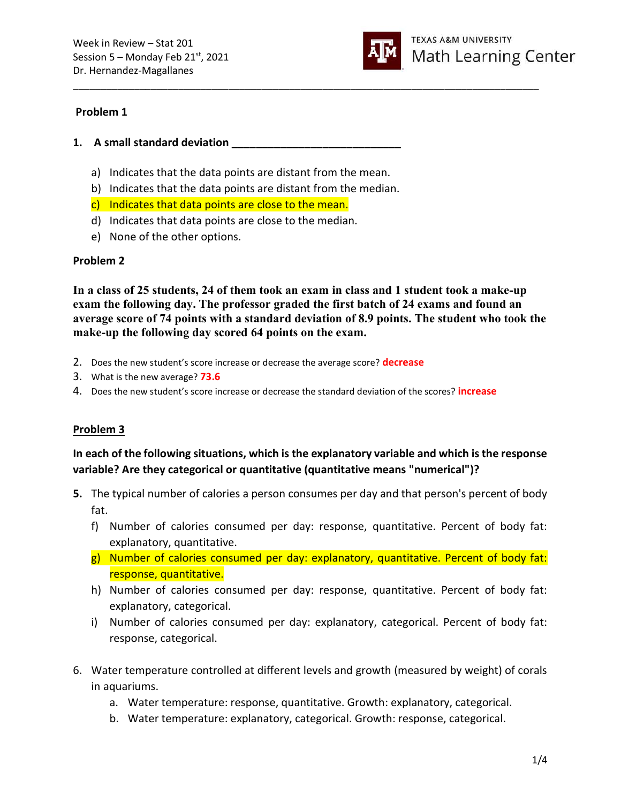

#### Problem 1

- 1. A small standard deviation
	- a) Indicates that the data points are distant from the mean.
	- b) Indicates that the data points are distant from the median.
	- c) Indicates that data points are close to the mean.
	- d) Indicates that data points are close to the median.
	- e) None of the other options.

#### Problem 2

In a class of 25 students, 24 of them took an exam in class and 1 student took a make-up exam the following day. The professor graded the first batch of 24 exams and found an average score of 74 points with a standard deviation of 8.9 points. The student who took the make-up the following day scored 64 points on the exam.

\_\_\_\_\_\_\_\_\_\_\_\_\_\_\_\_\_\_\_\_\_\_\_\_\_\_\_\_\_\_\_\_\_\_\_\_\_\_\_\_\_\_\_\_\_\_\_\_\_\_\_\_\_\_\_\_\_\_\_\_\_\_\_\_\_\_\_\_\_\_\_\_\_\_\_\_\_\_\_\_\_\_\_\_

- 2. Does the new student's score increase or decrease the average score? decrease
- 3. What is the new average? **73.6**
- 4. Does the new student's score increase or decrease the standard deviation of the scores? **increase**

## Problem 3

# In each of the following situations, which is the explanatory variable and which is the response variable? Are they categorical or quantitative (quantitative means "numerical")?

- 5. The typical number of calories a person consumes per day and that person's percent of body fat.
	- f) Number of calories consumed per day: response, quantitative. Percent of body fat: explanatory, quantitative.
	- g) Number of calories consumed per day: explanatory, quantitative. Percent of body fat: response, quantitative.
	- h) Number of calories consumed per day: response, quantitative. Percent of body fat: explanatory, categorical.
	- i) Number of calories consumed per day: explanatory, categorical. Percent of body fat: response, categorical.
- 6. Water temperature controlled at different levels and growth (measured by weight) of corals in aquariums.
	- a. Water temperature: response, quantitative. Growth: explanatory, categorical.
	- b. Water temperature: explanatory, categorical. Growth: response, categorical.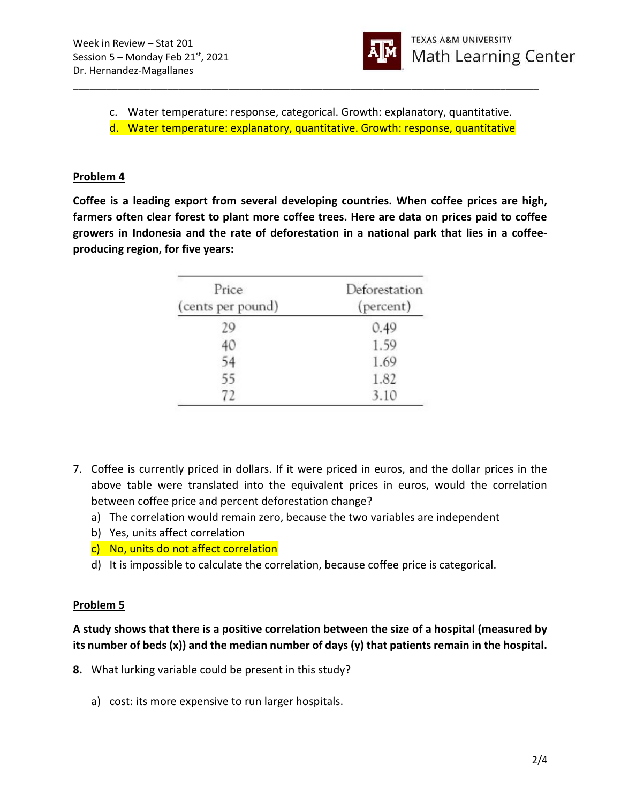

c. Water temperature: response, categorical. Growth: explanatory, quantitative.

\_\_\_\_\_\_\_\_\_\_\_\_\_\_\_\_\_\_\_\_\_\_\_\_\_\_\_\_\_\_\_\_\_\_\_\_\_\_\_\_\_\_\_\_\_\_\_\_\_\_\_\_\_\_\_\_\_\_\_\_\_\_\_\_\_\_\_\_\_\_\_\_\_\_\_\_\_\_\_\_\_\_\_\_

d. Water temperature: explanatory, quantitative. Growth: response, quantitative

## Problem 4

Coffee is a leading export from several developing countries. When coffee prices are high, farmers often clear forest to plant more coffee trees. Here are data on prices paid to coffee growers in Indonesia and the rate of deforestation in a national park that lies in a coffeeproducing region, for five years:

| Price<br>(cents per pound) | Deforestation<br>(percent) |  |
|----------------------------|----------------------------|--|
| 29                         | 0.49                       |  |
| 40                         | 1.59                       |  |
|                            | 1.69                       |  |
| 55                         | 1.82                       |  |
| 72                         | 3.10                       |  |

- 7. Coffee is currently priced in dollars. If it were priced in euros, and the dollar prices in the above table were translated into the equivalent prices in euros, would the correlation between coffee price and percent deforestation change?
	- a) The correlation would remain zero, because the two variables are independent
	- b) Yes, units affect correlation
	- c) No, units do not affect correlation
	- d) It is impossible to calculate the correlation, because coffee price is categorical.

#### Problem 5

## A study shows that there is a positive correlation between the size of a hospital (measured by its number of beds (x)) and the median number of days (y) that patients remain in the hospital.

- 8. What lurking variable could be present in this study?
	- a) cost: its more expensive to run larger hospitals.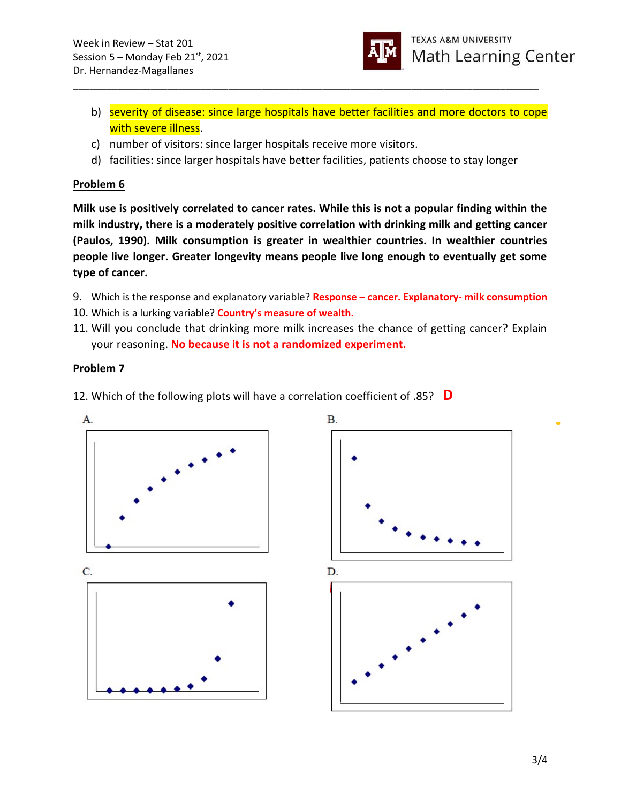

- b) severity of disease: since large hospitals have better facilities and more doctors to cope with severe illness.
- c) number of visitors: since larger hospitals receive more visitors.
- d) facilities: since larger hospitals have better facilities, patients choose to stay longer

\_\_\_\_\_\_\_\_\_\_\_\_\_\_\_\_\_\_\_\_\_\_\_\_\_\_\_\_\_\_\_\_\_\_\_\_\_\_\_\_\_\_\_\_\_\_\_\_\_\_\_\_\_\_\_\_\_\_\_\_\_\_\_\_\_\_\_\_\_\_\_\_\_\_\_\_\_\_\_\_\_\_\_\_

## Problem 6

Milk use is positively correlated to cancer rates. While this is not a popular finding within the milk industry, there is a moderately positive correlation with drinking milk and getting cancer (Paulos, 1990). Milk consumption is greater in wealthier countries. In wealthier countries people live longer. Greater longevity means people live long enough to eventually get some type of cancer.

- 9. Which is the response and explanatory variable? Response cancer. Explanatory- milk consumption
- 10. Which is a lurking variable? Country's measure of wealth.
- 11. Will you conclude that drinking more milk increases the chance of getting cancer? Explain your reasoning. No because it is not a randomized experiment.

# Problem 7

12. Which of the following plots will have a correlation coefficient of .85?  $\Box$